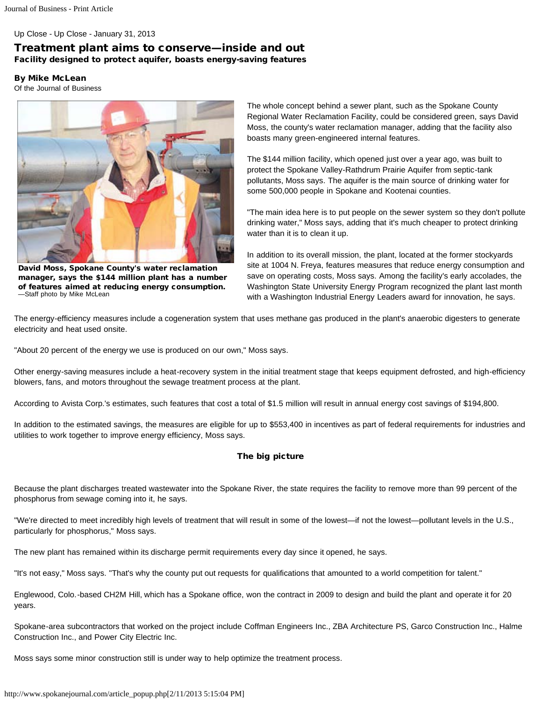Up Close - Up Close - January 31, 2013

## Treatment plant aims to conserve—inside and out Facility designed to protect aquifer, boasts energy-saving features

By Mike McLean

Of the Journal of Business



David Moss, Spokane County's water reclamation manager, says the \$144 million plant has a number of features aimed at reducing energy consumption. —Staff photo by Mike McLean

The whole concept behind a sewer plant, such as the Spokane County Regional Water Reclamation Facility, could be considered green, says David Moss, the county's water reclamation manager, adding that the facility also boasts many green-engineered internal features.

The \$144 million facility, which opened just over a year ago, was built to protect the Spokane Valley-Rathdrum Prairie Aquifer from septic-tank pollutants, Moss says. The aquifer is the main source of drinking water for some 500,000 people in Spokane and Kootenai counties.

"The main idea here is to put people on the sewer system so they don't pollute drinking water," Moss says, adding that it's much cheaper to protect drinking water than it is to clean it up.

In addition to its overall mission, the plant, located at the former stockyards site at 1004 N. Freya, features measures that reduce energy consumption and save on operating costs, Moss says. Among the facility's early accolades, the Washington State University Energy Program recognized the plant last month with a Washington Industrial Energy Leaders award for innovation, he says.

The energy-efficiency measures include a cogeneration system that uses methane gas produced in the plant's anaerobic digesters to generate electricity and heat used onsite.

"About 20 percent of the energy we use is produced on our own," Moss says.

Other energy-saving measures include a heat-recovery system in the initial treatment stage that keeps equipment defrosted, and high-efficiency blowers, fans, and motors throughout the sewage treatment process at the plant.

According to Avista Corp.'s estimates, such features that cost a total of \$1.5 million will result in annual energy cost savings of \$194,800.

In addition to the estimated savings, the measures are eligible for up to \$553,400 in incentives as part of federal requirements for industries and utilities to work together to improve energy efficiency, Moss says.

## The big picture

Because the plant discharges treated wastewater into the Spokane River, the state requires the facility to remove more than 99 percent of the phosphorus from sewage coming into it, he says.

"We're directed to meet incredibly high levels of treatment that will result in some of the lowest—if not the lowest—pollutant levels in the U.S., particularly for phosphorus," Moss says.

The new plant has remained within its discharge permit requirements every day since it opened, he says.

"It's not easy," Moss says. "That's why the county put out requests for qualifications that amounted to a world competition for talent."

Englewood, Colo.-based CH2M Hill, which has a Spokane office, won the contract in 2009 to design and build the plant and operate it for 20 years.

Spokane-area subcontractors that worked on the project include Coffman Engineers Inc., ZBA Architecture PS, Garco Construction Inc., Halme Construction Inc., and Power City Electric Inc.

Moss says some minor construction still is under way to help optimize the treatment process.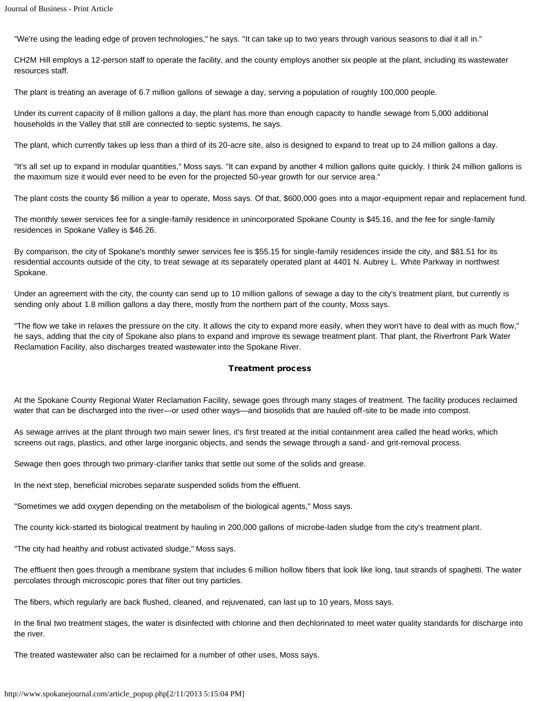"We're using the leading edge of proven technologies," he says. "It can take up to two years through various seasons to dial it all in."

CH2M Hill employs a 12-person staff to operate the facility, and the county employs another six people at the plant, including its wastewater resources staff.

The plant is treating an average of 6.7 million gallons of sewage a day, serving a population of roughly 100,000 people.

Under its current capacity of 8 million gallons a day, the plant has more than enough capacity to handle sewage from 5,000 additional households in the Valley that still are connected to septic systems, he says.

The plant, which currently takes up less than a third of its 20-acre site, also is designed to expand to treat up to 24 million gallons a day.

"It's all set up to expand in modular quantities," Moss says. "It can expand by another 4 million gallons quite quickly. I think 24 million gallons is the maximum size it would ever need to be even for the projected 50-year growth for our service area."

The plant costs the county \$6 million a year to operate, Moss says. Of that, \$600,000 goes into a major-equipment repair and replacement fund.

The monthly sewer services fee for a single-family residence in unincorporated Spokane County is \$45.16, and the fee for single-family residences in Spokane Valley is \$46.26.

By comparison, the city of Spokane's monthly sewer services fee is \$55.15 for single-family residences inside the city, and \$81.51 for its residential accounts outside of the city, to treat sewage at its separately operated plant at 4401 N. Aubrey L. White Parkway in northwest Spokane.

Under an agreement with the city, the county can send up to 10 million gallons of sewage a day to the city's treatment plant, but currently is sending only about 1.8 million gallons a day there, mostly from the northern part of the county, Moss says.

"The flow we take in relaxes the pressure on the city. It allows the city to expand more easily, when they won't have to deal with as much flow," he says, adding that the city of Spokane also plans to expand and improve its sewage treatment plant. That plant, the Riverfront Park Water Reclamation Facility, also discharges treated wastewater into the Spokane River.

## Treatment process

At the Spokane County Regional Water Reclamation Facility, sewage goes through many stages of treatment. The facility produces reclaimed water that can be discharged into the river—or used other ways—and biosolids that are hauled off-site to be made into compost.

As sewage arrives at the plant through two main sewer lines, it's first treated at the initial containment area called the head works, which screens out rags, plastics, and other large inorganic objects, and sends the sewage through a sand- and grit-removal process.

Sewage then goes through two primary-clarifier tanks that settle out some of the solids and grease.

In the next step, beneficial microbes separate suspended solids from the effluent.

"Sometimes we add oxygen depending on the metabolism of the biological agents," Moss says.

The county kick-started its biological treatment by hauling in 200,000 gallons of microbe-laden sludge from the city's treatment plant.

"The city had healthy and robust activated sludge," Moss says.

The effluent then goes through a membrane system that includes 6 million hollow fibers that look like long, taut strands of spaghetti. The water percolates through microscopic pores that filter out tiny particles.

The fibers, which regularly are back flushed, cleaned, and rejuvenated, can last up to 10 years, Moss says.

In the final two treatment stages, the water is disinfected with chlorine and then dechlorinated to meet water quality standards for discharge into the river.

The treated wastewater also can be reclaimed for a number of other uses, Moss says.